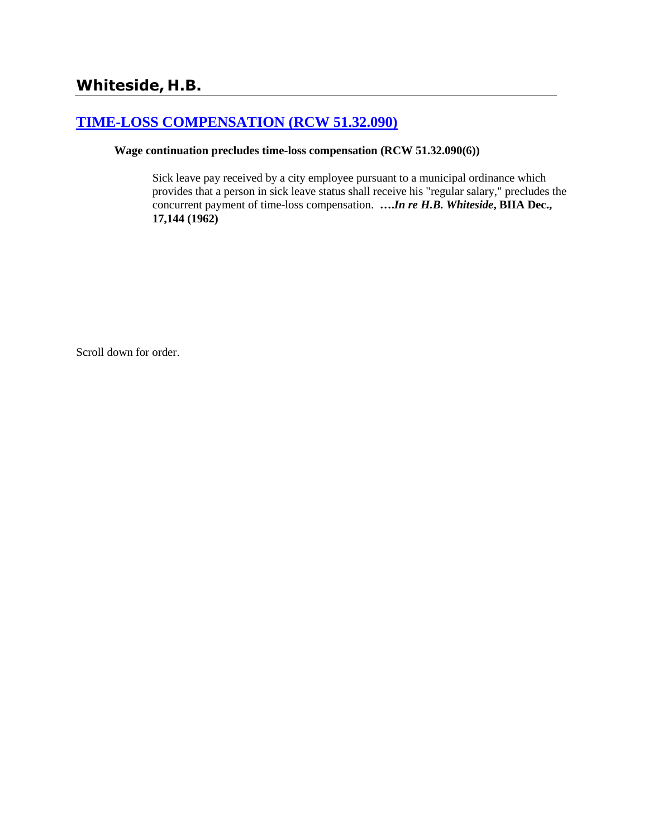# **[TIME-LOSS COMPENSATION \(RCW 51.32.090\)](http://www.biia.wa.gov/SDSubjectIndex.html#TIME_LOSS_COMPENSATION)**

## **Wage continuation precludes time-loss compensation (RCW 51.32.090(6))**

Sick leave pay received by a city employee pursuant to a municipal ordinance which provides that a person in sick leave status shall receive his "regular salary," precludes the concurrent payment of time-loss compensation. **….***In re H.B. Whiteside***, BIIA Dec., 17,144 (1962)**

Scroll down for order.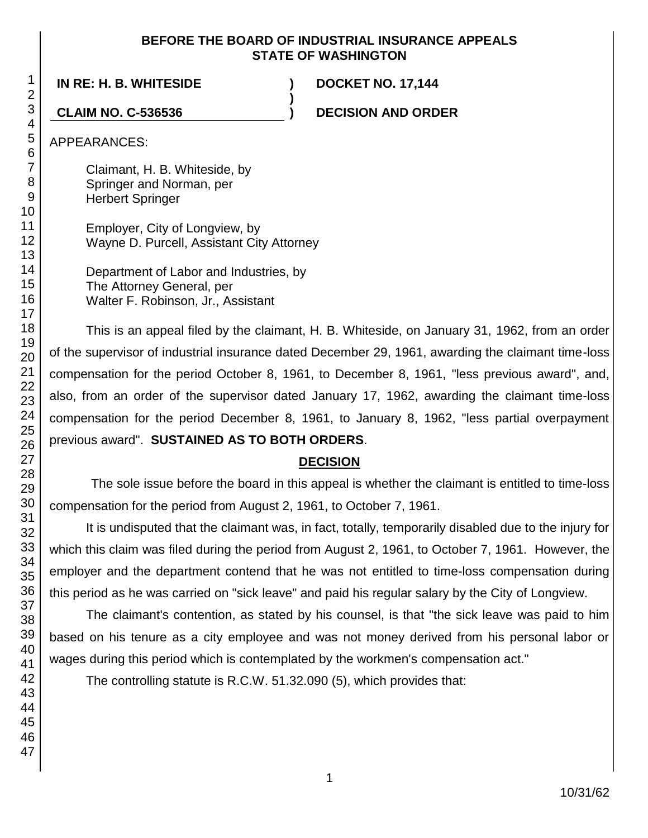#### **BEFORE THE BOARD OF INDUSTRIAL INSURANCE APPEALS STATE OF WASHINGTON**

**)**

**IN RE: H. B. WHITESIDE ) DOCKET NO. 17,144**

**CLAIM NO. C-536536 ) DECISION AND ORDER**

APPEARANCES:

Claimant, H. B. Whiteside, by Springer and Norman, per Herbert Springer

Employer, City of Longview, by Wayne D. Purcell, Assistant City Attorney

Department of Labor and Industries, by The Attorney General, per Walter F. Robinson, Jr., Assistant

This is an appeal filed by the claimant, H. B. Whiteside, on January 31, 1962, from an order of the supervisor of industrial insurance dated December 29, 1961, awarding the claimant time-loss compensation for the period October 8, 1961, to December 8, 1961, "less previous award", and, also, from an order of the supervisor dated January 17, 1962, awarding the claimant time-loss compensation for the period December 8, 1961, to January 8, 1962, "less partial overpayment previous award". **SUSTAINED AS TO BOTH ORDERS**.

# **DECISION**

The sole issue before the board in this appeal is whether the claimant is entitled to time-loss compensation for the period from August 2, 1961, to October 7, 1961.

It is undisputed that the claimant was, in fact, totally, temporarily disabled due to the injury for which this claim was filed during the period from August 2, 1961, to October 7, 1961. However, the employer and the department contend that he was not entitled to time-loss compensation during this period as he was carried on "sick leave" and paid his regular salary by the City of Longview.

The claimant's contention, as stated by his counsel, is that "the sick leave was paid to him based on his tenure as a city employee and was not money derived from his personal labor or wages during this period which is contemplated by the workmen's compensation act."

The controlling statute is R.C.W. 51.32.090 (5), which provides that: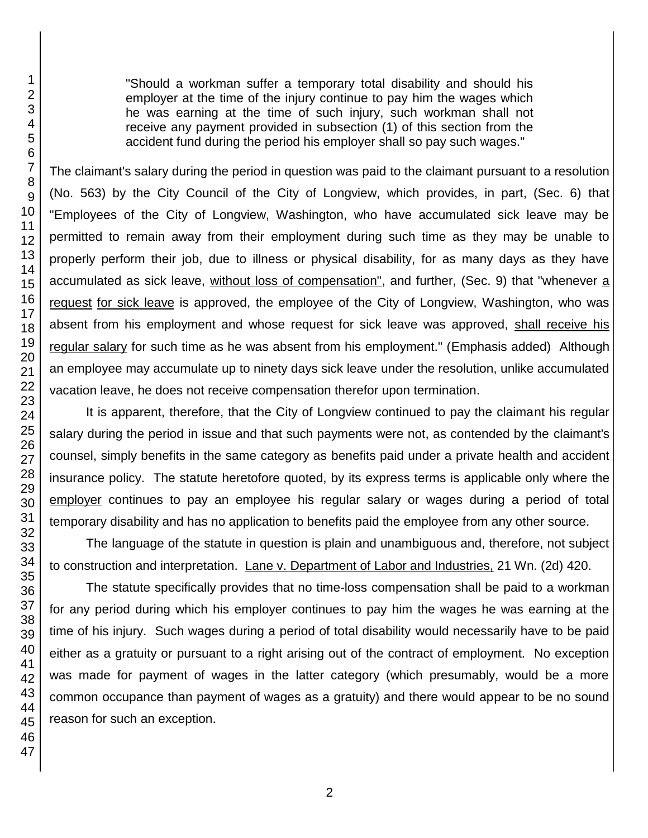"Should a workman suffer a temporary total disability and should his employer at the time of the injury continue to pay him the wages which he was earning at the time of such injury, such workman shall not receive any payment provided in subsection (1) of this section from the accident fund during the period his employer shall so pay such wages."

The claimant's salary during the period in question was paid to the claimant pursuant to a resolution (No. 563) by the City Council of the City of Longview, which provides, in part, (Sec. 6) that "Employees of the City of Longview, Washington, who have accumulated sick leave may be permitted to remain away from their employment during such time as they may be unable to properly perform their job, due to illness or physical disability, for as many days as they have accumulated as sick leave, without loss of compensation", and further, (Sec. 9) that "whenever a request for sick leave is approved, the employee of the City of Longview, Washington, who was absent from his employment and whose request for sick leave was approved, shall receive his regular salary for such time as he was absent from his employment." (Emphasis added) Although an employee may accumulate up to ninety days sick leave under the resolution, unlike accumulated vacation leave, he does not receive compensation therefor upon termination.

It is apparent, therefore, that the City of Longview continued to pay the claimant his regular salary during the period in issue and that such payments were not, as contended by the claimant's counsel, simply benefits in the same category as benefits paid under a private health and accident insurance policy. The statute heretofore quoted, by its express terms is applicable only where the employer continues to pay an employee his regular salary or wages during a period of total temporary disability and has no application to benefits paid the employee from any other source.

The language of the statute in question is plain and unambiguous and, therefore, not subject to construction and interpretation. Lane v. Department of Labor and Industries, 21 Wn. (2d) 420.

The statute specifically provides that no time-loss compensation shall be paid to a workman for any period during which his employer continues to pay him the wages he was earning at the time of his injury. Such wages during a period of total disability would necessarily have to be paid either as a gratuity or pursuant to a right arising out of the contract of employment. No exception was made for payment of wages in the latter category (which presumably, would be a more common occupance than payment of wages as a gratuity) and there would appear to be no sound reason for such an exception.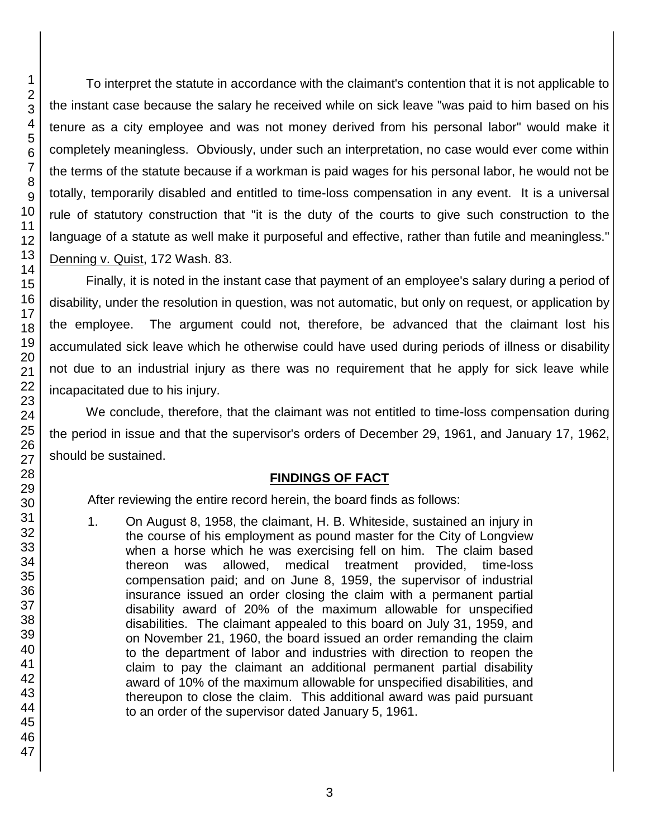To interpret the statute in accordance with the claimant's contention that it is not applicable to the instant case because the salary he received while on sick leave "was paid to him based on his tenure as a city employee and was not money derived from his personal labor" would make it completely meaningless. Obviously, under such an interpretation, no case would ever come within the terms of the statute because if a workman is paid wages for his personal labor, he would not be totally, temporarily disabled and entitled to time-loss compensation in any event. It is a universal rule of statutory construction that "it is the duty of the courts to give such construction to the language of a statute as well make it purposeful and effective, rather than futile and meaningless." Denning v. Quist, 172 Wash. 83.

Finally, it is noted in the instant case that payment of an employee's salary during a period of disability, under the resolution in question, was not automatic, but only on request, or application by the employee. The argument could not, therefore, be advanced that the claimant lost his accumulated sick leave which he otherwise could have used during periods of illness or disability not due to an industrial injury as there was no requirement that he apply for sick leave while incapacitated due to his injury.

We conclude, therefore, that the claimant was not entitled to time-loss compensation during the period in issue and that the supervisor's orders of December 29, 1961, and January 17, 1962, should be sustained.

#### **FINDINGS OF FACT**

After reviewing the entire record herein, the board finds as follows:

1. On August 8, 1958, the claimant, H. B. Whiteside, sustained an injury in the course of his employment as pound master for the City of Longview when a horse which he was exercising fell on him. The claim based thereon was allowed, medical treatment provided, time-loss compensation paid; and on June 8, 1959, the supervisor of industrial insurance issued an order closing the claim with a permanent partial disability award of 20% of the maximum allowable for unspecified disabilities. The claimant appealed to this board on July 31, 1959, and on November 21, 1960, the board issued an order remanding the claim to the department of labor and industries with direction to reopen the claim to pay the claimant an additional permanent partial disability award of 10% of the maximum allowable for unspecified disabilities, and thereupon to close the claim. This additional award was paid pursuant to an order of the supervisor dated January 5, 1961.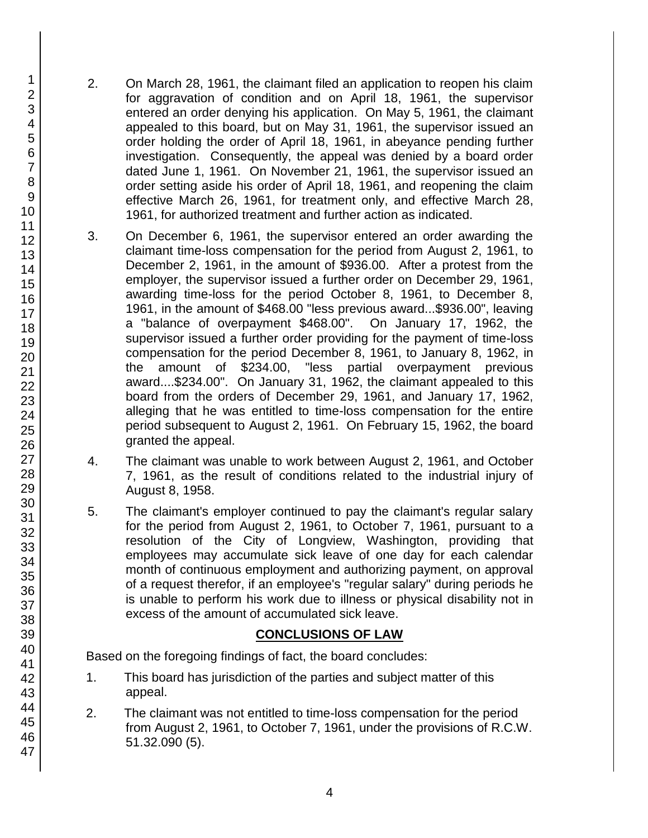- 2. On March 28, 1961, the claimant filed an application to reopen his claim for aggravation of condition and on April 18, 1961, the supervisor entered an order denying his application. On May 5, 1961, the claimant appealed to this board, but on May 31, 1961, the supervisor issued an order holding the order of April 18, 1961, in abeyance pending further investigation. Consequently, the appeal was denied by a board order dated June 1, 1961. On November 21, 1961, the supervisor issued an order setting aside his order of April 18, 1961, and reopening the claim effective March 26, 1961, for treatment only, and effective March 28, 1961, for authorized treatment and further action as indicated.
- 3. On December 6, 1961, the supervisor entered an order awarding the claimant time-loss compensation for the period from August 2, 1961, to December 2, 1961, in the amount of \$936.00. After a protest from the employer, the supervisor issued a further order on December 29, 1961, awarding time-loss for the period October 8, 1961, to December 8, 1961, in the amount of \$468.00 "less previous award...\$936.00", leaving a "balance of overpayment \$468.00". On January 17, 1962, the supervisor issued a further order providing for the payment of time-loss compensation for the period December 8, 1961, to January 8, 1962, in the amount of \$234.00, "less partial overpayment previous award....\$234.00". On January 31, 1962, the claimant appealed to this board from the orders of December 29, 1961, and January 17, 1962, alleging that he was entitled to time-loss compensation for the entire period subsequent to August 2, 1961. On February 15, 1962, the board granted the appeal.
- 4. The claimant was unable to work between August 2, 1961, and October 7, 1961, as the result of conditions related to the industrial injury of August 8, 1958.
- 5. The claimant's employer continued to pay the claimant's regular salary for the period from August 2, 1961, to October 7, 1961, pursuant to a resolution of the City of Longview, Washington, providing that employees may accumulate sick leave of one day for each calendar month of continuous employment and authorizing payment, on approval of a request therefor, if an employee's "regular salary" during periods he is unable to perform his work due to illness or physical disability not in excess of the amount of accumulated sick leave.

#### **CONCLUSIONS OF LAW**

Based on the foregoing findings of fact, the board concludes:

- 1. This board has jurisdiction of the parties and subject matter of this appeal.
- 2. The claimant was not entitled to time-loss compensation for the period from August 2, 1961, to October 7, 1961, under the provisions of R.C.W. 51.32.090 (5).